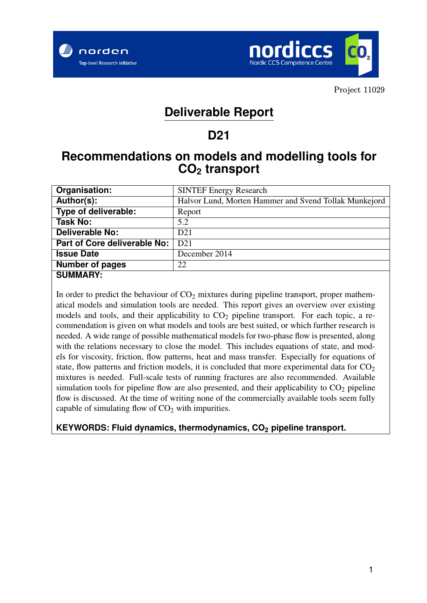



# **Deliverable Report**

# **D21**

# **Recommendations on models and modelling tools for CO<sup>2</sup> transport**

| Organisation:                | <b>SINTEF Energy Research</b>                         |
|------------------------------|-------------------------------------------------------|
| Author(s):                   | Halvor Lund, Morten Hammer and Svend Tollak Munkejord |
| Type of deliverable:         | Report                                                |
| <b>Task No:</b>              | 5.2                                                   |
| <b>Deliverable No:</b>       | D <sub>21</sub>                                       |
| Part of Core deliverable No: | D21                                                   |
| <b>Issue Date</b>            | December 2014                                         |
| <b>Number of pages</b>       | 22                                                    |
| <b>SUMMARY:</b>              |                                                       |

In order to predict the behaviour of  $CO<sub>2</sub>$  mixtures during pipeline transport, proper mathematical models and simulation tools are needed. This report gives an overview over existing models and tools, and their applicability to  $CO<sub>2</sub>$  pipeline transport. For each topic, a recommendation is given on what models and tools are best suited, or which further research is needed. A wide range of possible mathematical models for two-phase flow is presented, along with the relations necessary to close the model. This includes equations of state, and models for viscosity, friction, flow patterns, heat and mass transfer. Especially for equations of state, flow patterns and friction models, it is concluded that more experimental data for  $CO<sub>2</sub>$ mixtures is needed. Full-scale tests of running fractures are also recommended. Available simulation tools for pipeline flow are also presented, and their applicability to  $CO<sub>2</sub>$  pipeline flow is discussed. At the time of writing none of the commercially available tools seem fully capable of simulating flow of  $CO<sub>2</sub>$  with impurities.

**KEYWORDS: Fluid dynamics, thermodynamics, CO<sup>2</sup> pipeline transport.**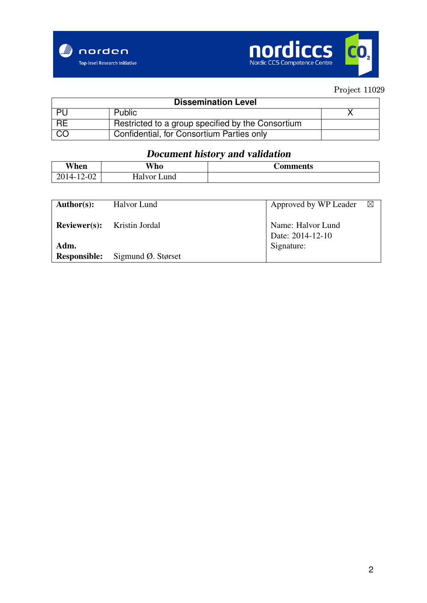



| <b>Dissemination Level</b> |                                                   |  |  |  |  |
|----------------------------|---------------------------------------------------|--|--|--|--|
| - PU                       | Public                                            |  |  |  |  |
| $R$ RE                     | Restricted to a group specified by the Consortium |  |  |  |  |
| CO                         | Confidential, for Consortium Parties only         |  |  |  |  |

# Document history and validation

| When                      | <b>Vho</b>     | <b>Comments</b> |
|---------------------------|----------------|-----------------|
| 4114-<br>$'$ −∪∠ $'$<br>∸ | Halvor<br>∟und |                 |

| Author(s):                  | Halvor Lund                        | Approved by WP Leader                 | $\boxtimes$ |
|-----------------------------|------------------------------------|---------------------------------------|-------------|
|                             | <b>Reviewer(s):</b> Kristin Jordal | Name: Halvor Lund<br>Date: 2014-12-10 |             |
| Adm.<br><b>Responsible:</b> | Sigmund $\varnothing$ . Størset    | Signature:                            |             |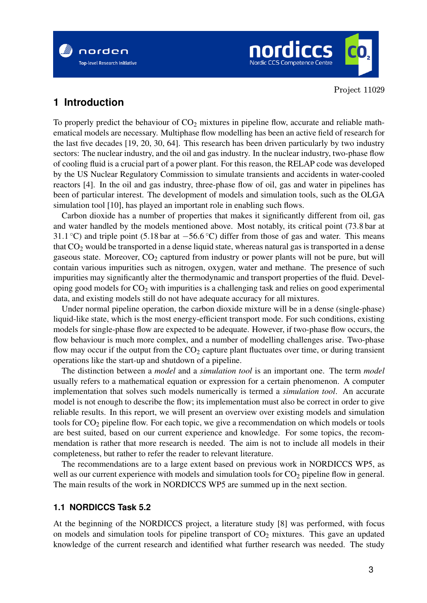



## **1 Introduction**

To properly predict the behaviour of  $CO<sub>2</sub>$  mixtures in pipeline flow, accurate and reliable mathematical models are necessary. Multiphase flow modelling has been an active field of research for the last five decades [19, 20, 30, 64]. This research has been driven particularly by two industry sectors: The nuclear industry, and the oil and gas industry. In the nuclear industry, two-phase flow of cooling fluid is a crucial part of a power plant. For this reason, the RELAP code was developed by the US Nuclear Regulatory Commission to simulate transients and accidents in water-cooled reactors [4]. In the oil and gas industry, three-phase flow of oil, gas and water in pipelines has been of particular interest. The development of models and simulation tools, such as the OLGA simulation tool [10], has played an important role in enabling such flows.

Carbon dioxide has a number of properties that makes it significantly different from oil, gas and water handled by the models mentioned above. Most notably, its critical point (73.8 bar at 31.1 °C) and triple point (5.18 bar at −56.6 °C) differ from those of gas and water. This means that  $CO<sub>2</sub>$  would be transported in a dense liquid state, whereas natural gas is transported in a dense gaseous state. Moreover,  $CO<sub>2</sub>$  captured from industry or power plants will not be pure, but will contain various impurities such as nitrogen, oxygen, water and methane. The presence of such impurities may significantly alter the thermodynamic and transport properties of the fluid. Developing good models for  $CO<sub>2</sub>$  with impurities is a challenging task and relies on good experimental data, and existing models still do not have adequate accuracy for all mixtures.

Under normal pipeline operation, the carbon dioxide mixture will be in a dense (single-phase) liquid-like state, which is the most energy-efficient transport mode. For such conditions, existing models for single-phase flow are expected to be adequate. However, if two-phase flow occurs, the flow behaviour is much more complex, and a number of modelling challenges arise. Two-phase flow may occur if the output from the  $CO<sub>2</sub>$  capture plant fluctuates over time, or during transient operations like the start-up and shutdown of a pipeline.

The distinction between a *model* and a *simulation tool* is an important one. The term *model* usually refers to a mathematical equation or expression for a certain phenomenon. A computer implementation that solves such models numerically is termed a *simulation tool*. An accurate model is not enough to describe the flow; its implementation must also be correct in order to give reliable results. In this report, we will present an overview over existing models and simulation tools for  $CO<sub>2</sub>$  pipeline flow. For each topic, we give a recommendation on which models or tools are best suited, based on our current experience and knowledge. For some topics, the recommendation is rather that more research is needed. The aim is not to include all models in their completeness, but rather to refer the reader to relevant literature.

The recommendations are to a large extent based on previous work in NORDICCS WP5, as well as our current experience with models and simulation tools for  $CO<sub>2</sub>$  pipeline flow in general. The main results of the work in NORDICCS WP5 are summed up in the next section.

#### **1.1 NORDICCS Task 5.2**

At the beginning of the NORDICCS project, a literature study [8] was performed, with focus on models and simulation tools for pipeline transport of  $CO<sub>2</sub>$  mixtures. This gave an updated knowledge of the current research and identified what further research was needed. The study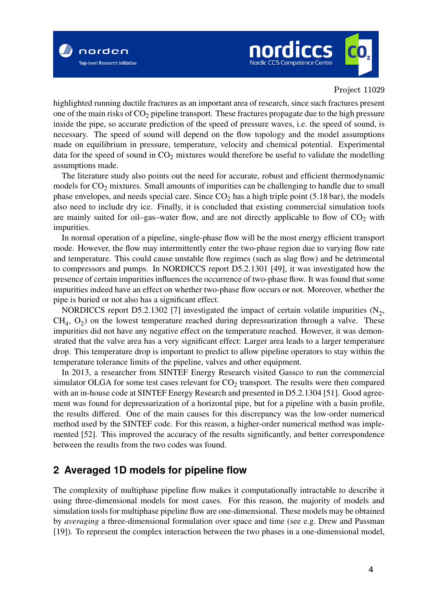

highlighted running ductile fractures as an important area of research, since such fractures present one of the main risks of  $CO<sub>2</sub>$  pipeline transport. These fractures propagate due to the high pressure inside the pipe, so accurate prediction of the speed of pressure waves, i.e. the speed of sound, is necessary. The speed of sound will depend on the flow topology and the model assumptions made on equilibrium in pressure, temperature, velocity and chemical potential. Experimental data for the speed of sound in  $CO<sub>2</sub>$  mixtures would therefore be useful to validate the modelling assumptions made.

The literature study also points out the need for accurate, robust and efficient thermodynamic models for  $CO<sub>2</sub>$  mixtures. Small amounts of impurities can be challenging to handle due to small phase envelopes, and needs special care. Since  $CO<sub>2</sub>$  has a high triple point (5.18 bar), the models also need to include dry ice. Finally, it is concluded that existing commercial simulation tools are mainly suited for oil–gas–water flow, and are not directly applicable to flow of  $CO<sub>2</sub>$  with impurities.

In normal operation of a pipeline, single-phase flow will be the most energy efficient transport mode. However, the flow may intermittently enter the two-phase region due to varying flow rate and temperature. This could cause unstable flow regimes (such as slug flow) and be detrimental to compressors and pumps. In NORDICCS report D5.2.1301 [49], it was investigated how the presence of certain impurities influences the occurrence of two-phase flow. It was found that some impurities indeed have an effect on whether two-phase flow occurs or not. Moreover, whether the pipe is buried or not also has a significant effect.

NORDICCS report D5.2.1302 [7] investigated the impact of certain volatile impurities  $(N_2,$  $CH<sub>4</sub>, O<sub>2</sub>$  on the lowest temperature reached during depressurization through a valve. These impurities did not have any negative effect on the temperature reached. However, it was demonstrated that the valve area has a very significant effect: Larger area leads to a larger temperature drop. This temperature drop is important to predict to allow pipeline operators to stay within the temperature tolerance limits of the pipeline, valves and other equipment.

In 2013, a researcher from SINTEF Energy Research visited Gassco to run the commercial simulator OLGA for some test cases relevant for  $CO<sub>2</sub>$  transport. The results were then compared with an in-house code at SINTEF Energy Research and presented in D5.2.1304 [51]. Good agreement was found for depressurization of a horizontal pipe, but for a pipeline with a basin profile, the results differed. One of the main causes for this discrepancy was the low-order numerical method used by the SINTEF code. For this reason, a higher-order numerical method was implemented [52]. This improved the accuracy of the results significantly, and better correspondence between the results from the two codes was found.

## **2 Averaged 1D models for pipeline flow**

The complexity of multiphase pipeline flow makes it computationally intractable to describe it using three-dimensional models for most cases. For this reason, the majority of models and simulation tools for multiphase pipeline flow are one-dimensional. These models may be obtained by *averaging* a three-dimensional formulation over space and time (see e.g. Drew and Passman [19]). To represent the complex interaction between the two phases in a one-dimensional model,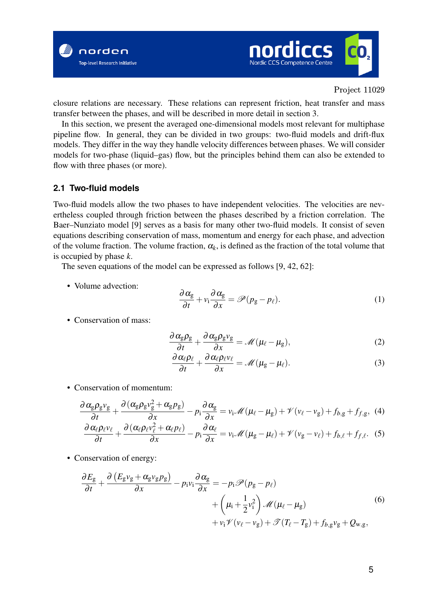



closure relations are necessary. These relations can represent friction, heat transfer and mass transfer between the phases, and will be described in more detail in section 3.

In this section, we present the averaged one-dimensional models most relevant for multiphase pipeline flow. In general, they can be divided in two groups: two-fluid models and drift-flux models. They differ in the way they handle velocity differences between phases. We will consider models for two-phase (liquid–gas) flow, but the principles behind them can also be extended to flow with three phases (or more).

#### **2.1 Two-fluid models**

Two-fluid models allow the two phases to have independent velocities. The velocities are nevertheless coupled through friction between the phases described by a friction correlation. The Baer–Nunziato model [9] serves as a basis for many other two-fluid models. It consist of seven equations describing conservation of mass, momentum and energy for each phase, and advection of the volume fraction. The volume fraction,  $\alpha_k$ , is defined as the fraction of the total volume that is occupied by phase *k*.

The seven equations of the model can be expressed as follows [9, 42, 62]:

• Volume advection:

$$
\frac{\partial \alpha_{\rm g}}{\partial t} + v_{\rm i} \frac{\partial \alpha_{\rm g}}{\partial x} = \mathscr{P}(p_{\rm g} - p_{\ell}). \tag{1}
$$

• Conservation of mass:

$$
\frac{\partial \alpha_{g} \rho_{g}}{\partial t} + \frac{\partial \alpha_{g} \rho_{g} v_{g}}{\partial x} = \mathcal{M}(\mu_{\ell} - \mu_{g}), \qquad (2)
$$

$$
\frac{\partial \alpha_{\ell} \rho_{\ell}}{\partial t} + \frac{\partial \alpha_{\ell} \rho_{\ell} v_{\ell}}{\partial x} = \mathcal{M} (\mu_{g} - \mu_{\ell}). \tag{3}
$$

• Conservation of momentum:

$$
\frac{\partial \alpha_{g} \rho_{g} v_{g}}{\partial t} + \frac{\partial (\alpha_{g} \rho_{g} v_{g}^{2} + \alpha_{g} p_{g})}{\partial x} - p_{i} \frac{\partial \alpha_{g}}{\partial x} = v_{i} \mathcal{M}(\mu_{\ell} - \mu_{g}) + \mathcal{V}(v_{\ell} - v_{g}) + f_{b,g} + f_{f,g}, \quad (4)
$$

$$
\frac{\partial \alpha_{\ell} \rho_{\ell} v_{\ell}}{\partial t} + \frac{\partial (\alpha_{\ell} \rho_{\ell} v_{\ell}^{2} + \alpha_{\ell} p_{\ell})}{\partial x} - p_{i} \frac{\partial \alpha_{\ell}}{\partial x} = v_{i} \mathcal{M}(\mu_{g} - \mu_{\ell}) + \mathcal{V}(v_{g} - v_{\ell}) + f_{b,\ell} + f_{f,\ell}. \quad (5)
$$

• Conservation of energy:

$$
\frac{\partial E_{\rm g}}{\partial t} + \frac{\partial \left( E_{\rm g} v_{\rm g} + \alpha_{\rm g} v_{\rm g} p_{\rm g} \right)}{\partial x} - p_{\rm i} v_{\rm i} \frac{\partial \alpha_{\rm g}}{\partial x} = -p_{\rm i} \mathcal{P} (p_{\rm g} - p_{\ell}) \n+ \left( \mu_{\rm i} + \frac{1}{2} v_{\rm i}^2 \right) \mathcal{M} (\mu_{\ell} - \mu_{\rm g}) \n+ v_{\rm i} \mathcal{V} (v_{\ell} - v_{\rm g}) + \mathcal{T} (T_{\ell} - T_{\rm g}) + f_{b, \rm g} v_{\rm g} + Q_{\rm w, g},
$$
\n(6)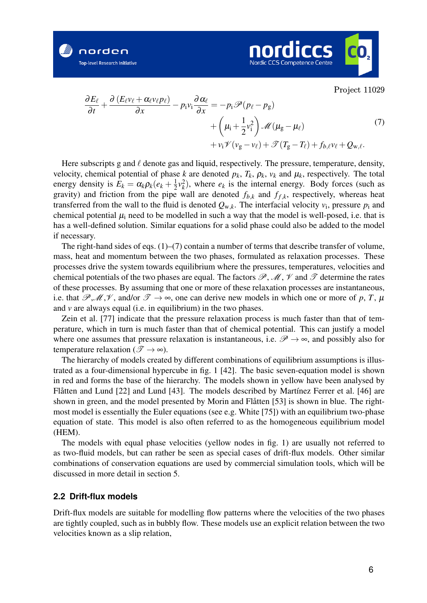



$$
\frac{\partial E_{\ell}}{\partial t} + \frac{\partial (E_{\ell}v_{\ell} + \alpha_{\ell}v_{\ell}p_{\ell})}{\partial x} - p_{i}v_{i}\frac{\partial \alpha_{\ell}}{\partial x} = -p_{i}\mathscr{P}(p_{\ell} - p_{g}) \n+ \left(\mu_{i} + \frac{1}{2}v_{i}^{2}\right)\mathscr{M}(\mu_{g} - \mu_{\ell}) \n+ v_{i}\mathscr{V}(v_{g} - v_{\ell}) + \mathscr{T}(T_{g} - T_{\ell}) + f_{b,\ell}v_{\ell} + Q_{w,\ell}.
$$
\n(7)

Here subscripts g and  $\ell$  denote gas and liquid, respectively. The pressure, temperature, density, velocity, chemical potential of phase *k* are denoted  $p_k$ ,  $T_k$ ,  $\rho_k$ ,  $v_k$  and  $\mu_k$ , respectively. The total energy density is  $E_k = \alpha_k \rho_k (e_k + \frac{1}{2})$  $\frac{1}{2}v_k^2$ ), where  $e_k$  is the internal energy. Body forces (such as gravity) and friction from the pipe wall are denoted  $f_{b,k}$  and  $f_{f,k}$ , respectively, whereas heat transferred from the wall to the fluid is denoted  $Q_{w,k}$ . The interfacial velocity  $v_i$ , pressure  $p_i$  and chemical potential  $\mu_i$  need to be modelled in such a way that the model is well-posed, i.e. that is has a well-defined solution. Similar equations for a solid phase could also be added to the model if necessary.

The right-hand sides of eqs. (1)–(7) contain a number of terms that describe transfer of volume, mass, heat and momentum between the two phases, formulated as relaxation processes. These processes drive the system towards equilibrium where the pressures, temperatures, velocities and chemical potentials of the two phases are equal. The factors  $\mathscr{P}, \mathscr{M}, \mathscr{V}$  and  $\mathscr{T}$  determine the rates of these processes. By assuming that one or more of these relaxation processes are instantaneous, i.e. that  $\mathscr{P}, \mathscr{M}, \mathscr{V}$ , and/or  $\mathscr{T} \to \infty$ , one can derive new models in which one or more of p, T,  $\mu$ and *v* are always equal (i.e. in equilibrium) in the two phases.

Zein et al. [77] indicate that the pressure relaxation process is much faster than that of temperature, which in turn is much faster than that of chemical potential. This can justify a model where one assumes that pressure relaxation is instantaneous, i.e.  $\mathscr{P} \to \infty$ , and possibly also for temperature relaxation ( $\mathscr{T} \to \infty$ ).

The hierarchy of models created by different combinations of equilibrium assumptions is illustrated as a four-dimensional hypercube in fig. 1 [42]. The basic seven-equation model is shown in red and forms the base of the hierarchy. The models shown in yellow have been analysed by Flåtten and Lund [22] and Lund [43]. The models described by Martínez Ferrer et al. [46] are shown in green, and the model presented by Morin and Flåtten [53] is shown in blue. The rightmost model is essentially the Euler equations (see e.g. White [75]) with an equilibrium two-phase equation of state. This model is also often referred to as the homogeneous equilibrium model (HEM).

The models with equal phase velocities (yellow nodes in fig. 1) are usually not referred to as two-fluid models, but can rather be seen as special cases of drift-flux models. Other similar combinations of conservation equations are used by commercial simulation tools, which will be discussed in more detail in section 5.

#### **2.2 Drift-flux models**

Drift-flux models are suitable for modelling flow patterns where the velocities of the two phases are tightly coupled, such as in bubbly flow. These models use an explicit relation between the two velocities known as a slip relation,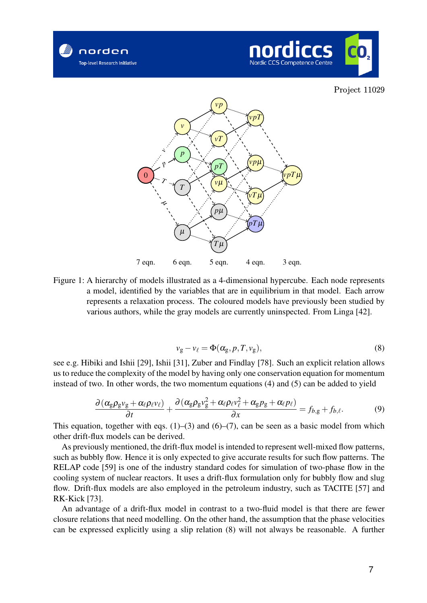





Figure 1: A hierarchy of models illustrated as a 4-dimensional hypercube. Each node represents a model, identified by the variables that are in equilibrium in that model. Each arrow represents a relaxation process. The coloured models have previously been studied by various authors, while the gray models are currently uninspected. From Linga [42].

$$
v_{g} - v_{\ell} = \Phi(\alpha_{g}, p, T, v_{g}), \qquad (8)
$$

see e.g. Hibiki and Ishii [29], Ishii [31], Zuber and Findlay [78]. Such an explicit relation allows us to reduce the complexity of the model by having only one conservation equation for momentum instead of two. In other words, the two momentum equations (4) and (5) can be added to yield

$$
\frac{\partial \left(\alpha_g \rho_g v_g + \alpha_\ell \rho_\ell v_\ell\right)}{\partial t} + \frac{\partial \left(\alpha_g \rho_g v_g^2 + \alpha_\ell \rho_\ell v_\ell^2 + \alpha_g p_g + \alpha_\ell p_\ell\right)}{\partial x} = f_{b,g} + f_{b,\ell}.\tag{9}
$$

This equation, together with eqs.  $(1)$ – $(3)$  and  $(6)$ – $(7)$ , can be seen as a basic model from which other drift-flux models can be derived.

As previously mentioned, the drift-flux model is intended to represent well-mixed flow patterns, such as bubbly flow. Hence it is only expected to give accurate results for such flow patterns. The RELAP code [59] is one of the industry standard codes for simulation of two-phase flow in the cooling system of nuclear reactors. It uses a drift-flux formulation only for bubbly flow and slug flow. Drift-flux models are also employed in the petroleum industry, such as TACITE [57] and RK-Kick [73].

An advantage of a drift-flux model in contrast to a two-fluid model is that there are fewer closure relations that need modelling. On the other hand, the assumption that the phase velocities can be expressed explicitly using a slip relation (8) will not always be reasonable. A further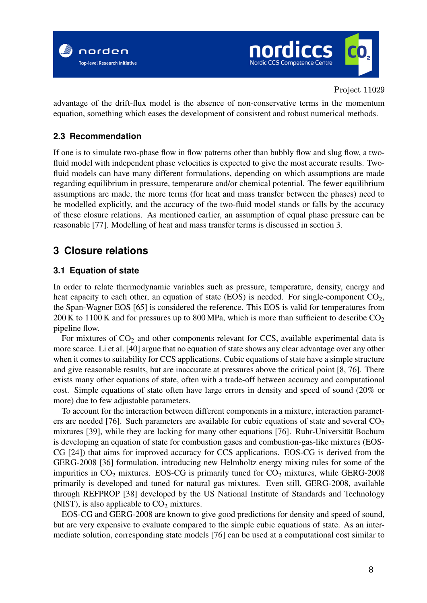



advantage of the drift-flux model is the absence of non-conservative terms in the momentum equation, something which eases the development of consistent and robust numerical methods.

#### **2.3 Recommendation**

If one is to simulate two-phase flow in flow patterns other than bubbly flow and slug flow, a twofluid model with independent phase velocities is expected to give the most accurate results. Twofluid models can have many different formulations, depending on which assumptions are made regarding equilibrium in pressure, temperature and/or chemical potential. The fewer equilibrium assumptions are made, the more terms (for heat and mass transfer between the phases) need to be modelled explicitly, and the accuracy of the two-fluid model stands or falls by the accuracy of these closure relations. As mentioned earlier, an assumption of equal phase pressure can be reasonable [77]. Modelling of heat and mass transfer terms is discussed in section 3.

# **3 Closure relations**

#### **3.1 Equation of state**

In order to relate thermodynamic variables such as pressure, temperature, density, energy and heat capacity to each other, an equation of state (EOS) is needed. For single-component  $CO<sub>2</sub>$ , the Span-Wagner EOS [65] is considered the reference. This EOS is valid for temperatures from 200 K to 1100 K and for pressures up to 800 MPa, which is more than sufficient to describe  $CO<sub>2</sub>$ pipeline flow.

For mixtures of  $CO<sub>2</sub>$  and other components relevant for CCS, available experimental data is more scarce. Li et al. [40] argue that no equation of state shows any clear advantage over any other when it comes to suitability for CCS applications. Cubic equations of state have a simple structure and give reasonable results, but are inaccurate at pressures above the critical point [8, 76]. There exists many other equations of state, often with a trade-off between accuracy and computational cost. Simple equations of state often have large errors in density and speed of sound (20% or more) due to few adjustable parameters.

To account for the interaction between different components in a mixture, interaction parameters are needed [76]. Such parameters are available for cubic equations of state and several  $CO<sub>2</sub>$ mixtures [39], while they are lacking for many other equations [76]. Ruhr-Universität Bochum is developing an equation of state for combustion gases and combustion-gas-like mixtures (EOS-CG [24]) that aims for improved accuracy for CCS applications. EOS-CG is derived from the GERG-2008 [36] formulation, introducing new Helmholtz energy mixing rules for some of the impurities in  $CO<sub>2</sub>$  mixtures. EOS-CG is primarily tuned for  $CO<sub>2</sub>$  mixtures, while GERG-2008 primarily is developed and tuned for natural gas mixtures. Even still, GERG-2008, available through REFPROP [38] developed by the US National Institute of Standards and Technology (NIST), is also applicable to  $CO<sub>2</sub>$  mixtures.

EOS-CG and GERG-2008 are known to give good predictions for density and speed of sound, but are very expensive to evaluate compared to the simple cubic equations of state. As an intermediate solution, corresponding state models [76] can be used at a computational cost similar to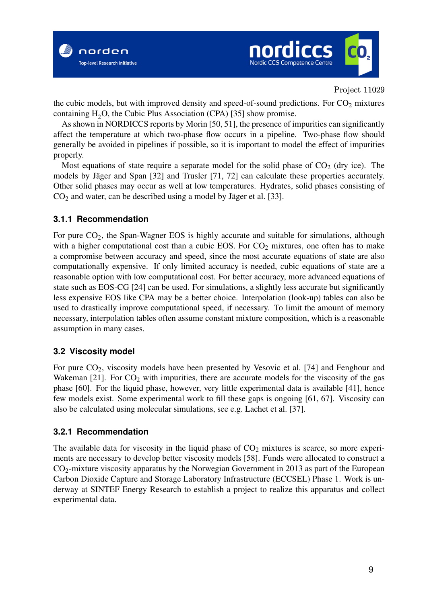



the cubic models, but with improved density and speed-of-sound predictions. For  $CO<sub>2</sub>$  mixtures containing  $H_2O$ , the Cubic Plus Association (CPA) [35] show promise.

As shown in NORDICCS reports by Morin [50, 51], the presence of impurities can significantly affect the temperature at which two-phase flow occurs in a pipeline. Two-phase flow should generally be avoided in pipelines if possible, so it is important to model the effect of impurities properly.

Most equations of state require a separate model for the solid phase of  $CO<sub>2</sub>$  (dry ice). The models by Jäger and Span [32] and Trusler [71, 72] can calculate these properties accurately. Other solid phases may occur as well at low temperatures. Hydrates, solid phases consisting of  $CO<sub>2</sub>$  and water, can be described using a model by Jäger et al. [33].

#### **3.1.1 Recommendation**

For pure  $CO<sub>2</sub>$ , the Span-Wagner EOS is highly accurate and suitable for simulations, although with a higher computational cost than a cubic EOS. For  $CO<sub>2</sub>$  mixtures, one often has to make a compromise between accuracy and speed, since the most accurate equations of state are also computationally expensive. If only limited accuracy is needed, cubic equations of state are a reasonable option with low computational cost. For better accuracy, more advanced equations of state such as EOS-CG [24] can be used. For simulations, a slightly less accurate but significantly less expensive EOS like CPA may be a better choice. Interpolation (look-up) tables can also be used to drastically improve computational speed, if necessary. To limit the amount of memory necessary, interpolation tables often assume constant mixture composition, which is a reasonable assumption in many cases.

#### **3.2 Viscosity model**

For pure  $CO<sub>2</sub>$ , viscosity models have been presented by Vesovic et al. [74] and Fenghour and Wakeman [21]. For  $CO<sub>2</sub>$  with impurities, there are accurate models for the viscosity of the gas phase [60]. For the liquid phase, however, very little experimental data is available [41], hence few models exist. Some experimental work to fill these gaps is ongoing [61, 67]. Viscosity can also be calculated using molecular simulations, see e.g. Lachet et al. [37].

#### **3.2.1 Recommendation**

The available data for viscosity in the liquid phase of  $CO<sub>2</sub>$  mixtures is scarce, so more experiments are necessary to develop better viscosity models [58]. Funds were allocated to construct a CO2-mixture viscosity apparatus by the Norwegian Government in 2013 as part of the European Carbon Dioxide Capture and Storage Laboratory Infrastructure (ECCSEL) Phase 1. Work is underway at SINTEF Energy Research to establish a project to realize this apparatus and collect experimental data.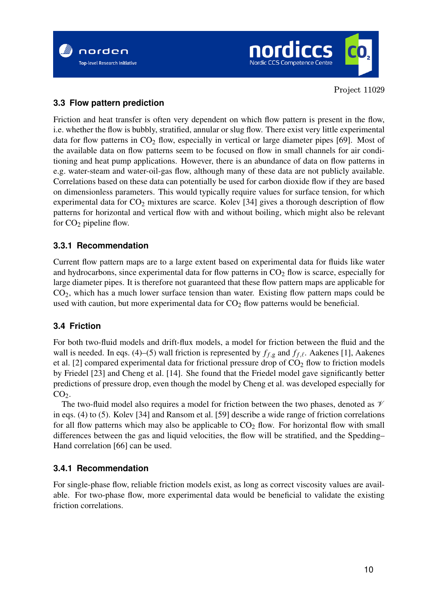



### **3.3 Flow pattern prediction**

Friction and heat transfer is often very dependent on which flow pattern is present in the flow, i.e. whether the flow is bubbly, stratified, annular or slug flow. There exist very little experimental data for flow patterns in  $CO<sub>2</sub>$  flow, especially in vertical or large diameter pipes [69]. Most of the available data on flow patterns seem to be focused on flow in small channels for air conditioning and heat pump applications. However, there is an abundance of data on flow patterns in e.g. water-steam and water-oil-gas flow, although many of these data are not publicly available. Correlations based on these data can potentially be used for carbon dioxide flow if they are based on dimensionless parameters. This would typically require values for surface tension, for which experimental data for  $CO<sub>2</sub>$  mixtures are scarce. Kolev [34] gives a thorough description of flow patterns for horizontal and vertical flow with and without boiling, which might also be relevant for  $CO<sub>2</sub>$  pipeline flow.

#### **3.3.1 Recommendation**

Current flow pattern maps are to a large extent based on experimental data for fluids like water and hydrocarbons, since experimental data for flow patterns in  $CO<sub>2</sub>$  flow is scarce, especially for large diameter pipes. It is therefore not guaranteed that these flow pattern maps are applicable for  $CO<sub>2</sub>$ , which has a much lower surface tension than water. Existing flow pattern maps could be used with caution, but more experimental data for  $CO<sub>2</sub>$  flow patterns would be beneficial.

#### **3.4 Friction**

For both two-fluid models and drift-flux models, a model for friction between the fluid and the wall is needed. In eqs. (4)–(5) wall friction is represented by  $f_{f,g}$  and  $f_{f,\ell}$ . Aakenes [1], Aakenes et al. [2] compared experimental data for frictional pressure drop of  $CO<sub>2</sub>$  flow to friction models by Friedel [23] and Cheng et al. [14]. She found that the Friedel model gave significantly better predictions of pressure drop, even though the model by Cheng et al. was developed especially for  $CO<sub>2</sub>$ .

The two-fluid model also requires a model for friction between the two phases, denoted as  $\mathcal V$ in eqs. (4) to (5). Kolev [34] and Ransom et al. [59] describe a wide range of friction correlations for all flow patterns which may also be applicable to  $CO<sub>2</sub>$  flow. For horizontal flow with small differences between the gas and liquid velocities, the flow will be stratified, and the Spedding– Hand correlation [66] can be used.

#### **3.4.1 Recommendation**

For single-phase flow, reliable friction models exist, as long as correct viscosity values are available. For two-phase flow, more experimental data would be beneficial to validate the existing friction correlations.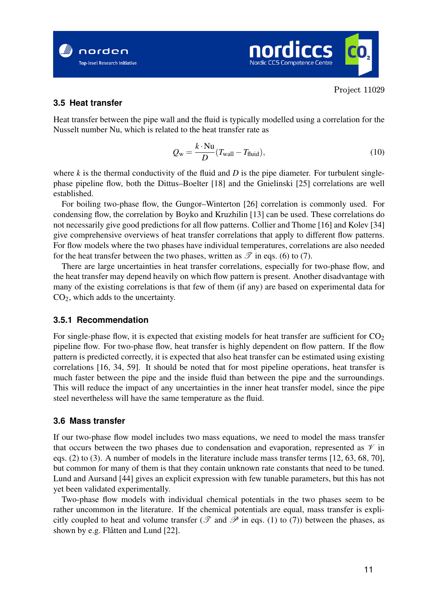



#### **3.5 Heat transfer**

Heat transfer between the pipe wall and the fluid is typically modelled using a correlation for the Nusselt number Nu, which is related to the heat transfer rate as

$$
Q_{\rm w} = \frac{k \cdot \text{Nu}}{D} (T_{\text{wall}} - T_{\text{fluid}}), \tag{10}
$$

where  $k$  is the thermal conductivity of the fluid and  $D$  is the pipe diameter. For turbulent singlephase pipeline flow, both the Dittus–Boelter [18] and the Gnielinski [25] correlations are well established.

For boiling two-phase flow, the Gungor–Winterton [26] correlation is commonly used. For condensing flow, the correlation by Boyko and Kruzhilin [13] can be used. These correlations do not necessarily give good predictions for all flow patterns. Collier and Thome [16] and Kolev [34] give comprehensive overviews of heat transfer correlations that apply to different flow patterns. For flow models where the two phases have individual temperatures, correlations are also needed for the heat transfer between the two phases, written as  $\mathscr T$  in eqs. (6) to (7).

There are large uncertainties in heat transfer correlations, especially for two-phase flow, and the heat transfer may depend heavily on which flow pattern is present. Another disadvantage with many of the existing correlations is that few of them (if any) are based on experimental data for  $CO<sub>2</sub>$ , which adds to the uncertainty.

#### **3.5.1 Recommendation**

For single-phase flow, it is expected that existing models for heat transfer are sufficient for  $CO<sub>2</sub>$ pipeline flow. For two-phase flow, heat transfer is highly dependent on flow pattern. If the flow pattern is predicted correctly, it is expected that also heat transfer can be estimated using existing correlations [16, 34, 59]. It should be noted that for most pipeline operations, heat transfer is much faster between the pipe and the inside fluid than between the pipe and the surroundings. This will reduce the impact of any uncertainties in the inner heat transfer model, since the pipe steel nevertheless will have the same temperature as the fluid.

#### **3.6 Mass transfer**

If our two-phase flow model includes two mass equations, we need to model the mass transfer that occurs between the two phases due to condensation and evaporation, represented as  $\mathcal V$  in eqs. (2) to (3). A number of models in the literature include mass transfer terms [12, 63, 68, 70], but common for many of them is that they contain unknown rate constants that need to be tuned. Lund and Aursand [44] gives an explicit expression with few tunable parameters, but this has not yet been validated experimentally.

Two-phase flow models with individual chemical potentials in the two phases seem to be rather uncommon in the literature. If the chemical potentials are equal, mass transfer is explicitly coupled to heat and volume transfer ( $\mathscr T$  and  $\mathscr P$  in eqs. (1) to (7)) between the phases, as shown by e.g. Flåtten and Lund [22].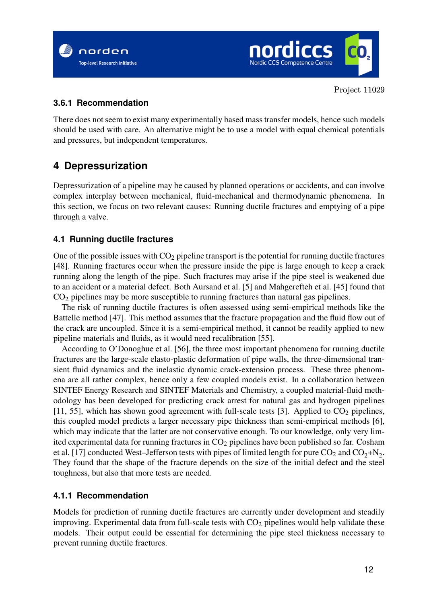



#### **3.6.1 Recommendation**

There does not seem to exist many experimentally based mass transfer models, hence such models should be used with care. An alternative might be to use a model with equal chemical potentials and pressures, but independent temperatures.

# **4 Depressurization**

Depressurization of a pipeline may be caused by planned operations or accidents, and can involve complex interplay between mechanical, fluid-mechanical and thermodynamic phenomena. In this section, we focus on two relevant causes: Running ductile fractures and emptying of a pipe through a valve.

#### **4.1 Running ductile fractures**

One of the possible issues with  $CO<sub>2</sub>$  pipeline transport is the potential for running ductile fractures [48]. Running fractures occur when the pressure inside the pipe is large enough to keep a crack running along the length of the pipe. Such fractures may arise if the pipe steel is weakened due to an accident or a material defect. Both Aursand et al. [5] and Mahgerefteh et al. [45] found that CO<sup>2</sup> pipelines may be more susceptible to running fractures than natural gas pipelines.

The risk of running ductile fractures is often assessed using semi-empirical methods like the Battelle method [47]. This method assumes that the fracture propagation and the fluid flow out of the crack are uncoupled. Since it is a semi-empirical method, it cannot be readily applied to new pipeline materials and fluids, as it would need recalibration [55].

According to O'Donoghue et al. [56], the three most important phenomena for running ductile fractures are the large-scale elasto-plastic deformation of pipe walls, the three-dimensional transient fluid dynamics and the inelastic dynamic crack-extension process. These three phenomena are all rather complex, hence only a few coupled models exist. In a collaboration between SINTEF Energy Research and SINTEF Materials and Chemistry, a coupled material-fluid methodology has been developed for predicting crack arrest for natural gas and hydrogen pipelines [11, 55], which has shown good agreement with full-scale tests [3]. Applied to  $CO<sub>2</sub>$  pipelines, this coupled model predicts a larger necessary pipe thickness than semi-empirical methods [6], which may indicate that the latter are not conservative enough. To our knowledge, only very limited experimental data for running fractures in  $CO<sub>2</sub>$  pipelines have been published so far. Cosham et al. [17] conducted West–Jefferson tests with pipes of limited length for pure  $\rm CO_2$  and  $\rm CO_2+N_2$ . They found that the shape of the fracture depends on the size of the initial defect and the steel toughness, but also that more tests are needed.

#### **4.1.1 Recommendation**

Models for prediction of running ductile fractures are currently under development and steadily improving. Experimental data from full-scale tests with  $CO<sub>2</sub>$  pipelines would help validate these models. Their output could be essential for determining the pipe steel thickness necessary to prevent running ductile fractures.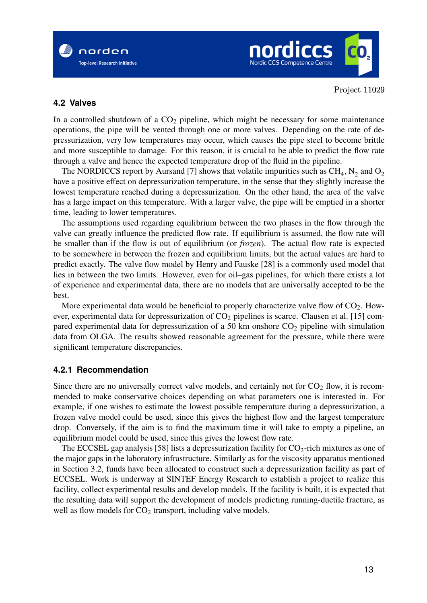



#### **4.2 Valves**

In a controlled shutdown of a  $CO<sub>2</sub>$  pipeline, which might be necessary for some maintenance operations, the pipe will be vented through one or more valves. Depending on the rate of depressurization, very low temperatures may occur, which causes the pipe steel to become brittle and more susceptible to damage. For this reason, it is crucial to be able to predict the flow rate through a valve and hence the expected temperature drop of the fluid in the pipeline.

The NORDICCS report by Aursand [7] shows that volatile impurities such as  $\text{CH}_4$ ,  $\text{N}_2$  and  $\text{O}_2$ have a positive effect on depressurization temperature, in the sense that they slightly increase the lowest temperature reached during a depressurization. On the other hand, the area of the valve has a large impact on this temperature. With a larger valve, the pipe will be emptied in a shorter time, leading to lower temperatures.

The assumptions used regarding equilibrium between the two phases in the flow through the valve can greatly influence the predicted flow rate. If equilibrium is assumed, the flow rate will be smaller than if the flow is out of equilibrium (or *frozen*). The actual flow rate is expected to be somewhere in between the frozen and equilibrium limits, but the actual values are hard to predict exactly. The valve flow model by Henry and Fauske [28] is a commonly used model that lies in between the two limits. However, even for oil–gas pipelines, for which there exists a lot of experience and experimental data, there are no models that are universally accepted to be the best.

More experimental data would be beneficial to properly characterize valve flow of  $CO<sub>2</sub>$ . However, experimental data for depressurization of  $CO<sub>2</sub>$  pipelines is scarce. Clausen et al. [15] compared experimental data for depressurization of a 50 km onshore  $CO<sub>2</sub>$  pipeline with simulation data from OLGA. The results showed reasonable agreement for the pressure, while there were significant temperature discrepancies.

#### **4.2.1 Recommendation**

Since there are no universally correct valve models, and certainly not for  $CO<sub>2</sub>$  flow, it is recommended to make conservative choices depending on what parameters one is interested in. For example, if one wishes to estimate the lowest possible temperature during a depressurization, a frozen valve model could be used, since this gives the highest flow and the largest temperature drop. Conversely, if the aim is to find the maximum time it will take to empty a pipeline, an equilibrium model could be used, since this gives the lowest flow rate.

The ECCSEL gap analysis [58] lists a depressurization facility for  $CO<sub>2</sub>$ -rich mixtures as one of the major gaps in the laboratory infrastructure. Similarly as for the viscosity apparatus mentioned in Section 3.2, funds have been allocated to construct such a depressurization facility as part of ECCSEL. Work is underway at SINTEF Energy Research to establish a project to realize this facility, collect experimental results and develop models. If the facility is built, it is expected that the resulting data will support the development of models predicting running-ductile fracture, as well as flow models for  $CO<sub>2</sub>$  transport, including valve models.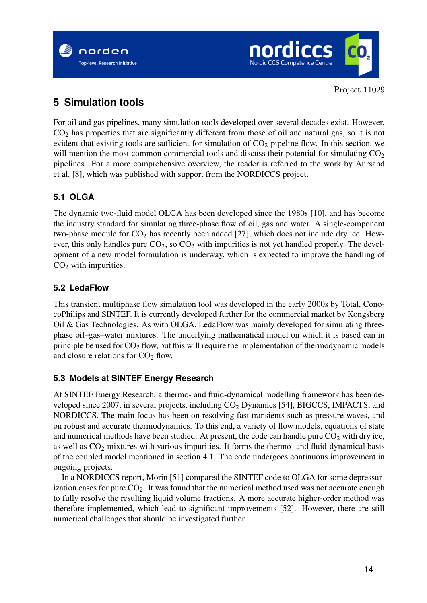



# **5 Simulation tools**

For oil and gas pipelines, many simulation tools developed over several decades exist. However,  $CO<sub>2</sub>$  has properties that are significantly different from those of oil and natural gas, so it is not evident that existing tools are sufficient for simulation of  $CO<sub>2</sub>$  pipeline flow. In this section, we will mention the most common commercial tools and discuss their potential for simulating  $CO<sub>2</sub>$ pipelines. For a more comprehensive overview, the reader is referred to the work by Aursand et al. [8], which was published with support from the NORDICCS project.

### **5.1 OLGA**

The dynamic two-fluid model OLGA has been developed since the 1980s [10], and has become the industry standard for simulating three-phase flow of oil, gas and water. A single-component two-phase module for  $CO<sub>2</sub>$  has recently been added [27], which does not include dry ice. However, this only handles pure  $CO<sub>2</sub>$ , so  $CO<sub>2</sub>$  with impurities is not yet handled properly. The development of a new model formulation is underway, which is expected to improve the handling of  $CO<sub>2</sub>$  with impurities.

### **5.2 LedaFlow**

This transient multiphase flow simulation tool was developed in the early 2000s by Total, ConocoPhilips and SINTEF. It is currently developed further for the commercial market by Kongsberg Oil & Gas Technologies. As with OLGA, LedaFlow was mainly developed for simulating threephase oil–gas–water mixtures. The underlying mathematical model on which it is based can in principle be used for  $CO<sub>2</sub>$  flow, but this will require the implementation of thermodynamic models and closure relations for  $CO<sub>2</sub>$  flow.

### **5.3 Models at SINTEF Energy Research**

At SINTEF Energy Research, a thermo- and fluid-dynamical modelling framework has been developed since 2007, in several projects, including  $CO<sub>2</sub>$  Dynamics [54], BIGCCS, IMPACTS, and NORDICCS. The main focus has been on resolving fast transients such as pressure waves, and on robust and accurate thermodynamics. To this end, a variety of flow models, equations of state and numerical methods have been studied. At present, the code can handle pure  $CO<sub>2</sub>$  with dry ice, as well as  $CO<sub>2</sub>$  mixtures with various impurities. It forms the thermo- and fluid-dynamical basis of the coupled model mentioned in section 4.1. The code undergoes continuous improvement in ongoing projects.

In a NORDICCS report, Morin [51] compared the SINTEF code to OLGA for some depressurization cases for pure  $CO<sub>2</sub>$ . It was found that the numerical method used was not accurate enough to fully resolve the resulting liquid volume fractions. A more accurate higher-order method was therefore implemented, which lead to significant improvements [52]. However, there are still numerical challenges that should be investigated further.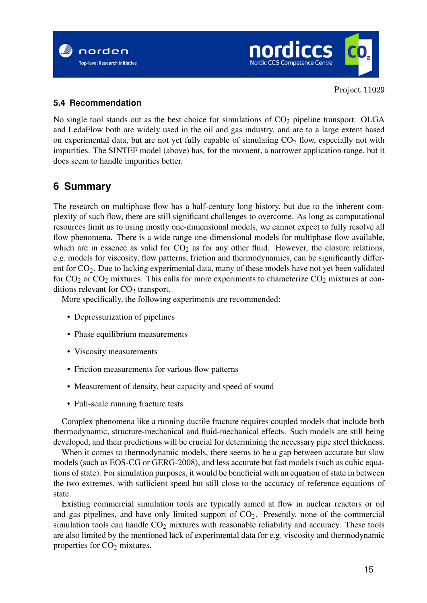



#### **5.4 Recommendation**

No single tool stands out as the best choice for simulations of  $CO<sub>2</sub>$  pipeline transport. OLGA and LedaFlow both are widely used in the oil and gas industry, and are to a large extent based on experimental data, but are not yet fully capable of simulating  $CO<sub>2</sub>$  flow, especially not with impurities. The SINTEF model (above) has, for the moment, a narrower application range, but it does seem to handle impurities better.

# **6 Summary**

The research on multiphase flow has a half-century long history, but due to the inherent complexity of such flow, there are still significant challenges to overcome. As long as computational resources limit us to using mostly one-dimensional models, we cannot expect to fully resolve all flow phenomena. There is a wide range one-dimensional models for multiphase flow available, which are in essence as valid for  $CO<sub>2</sub>$  as for any other fluid. However, the closure relations, e.g. models for viscosity, flow patterns, friction and thermodynamics, can be significantly different for CO2. Due to lacking experimental data, many of these models have not yet been validated for  $CO_2$  or  $CO_2$  mixtures. This calls for more experiments to characterize  $CO_2$  mixtures at conditions relevant for  $CO<sub>2</sub>$  transport.

More specifically, the following experiments are recommended:

- Depressurization of pipelines
- Phase equilibrium measurements
- Viscosity measurements
- Friction measurements for various flow patterns
- Measurement of density, heat capacity and speed of sound
- Full-scale running fracture tests

Complex phenomena like a running ductile fracture requires coupled models that include both thermodynamic, structure-mechanical and fluid-mechanical effects. Such models are still being developed, and their predictions will be crucial for determining the necessary pipe steel thickness.

When it comes to thermodynamic models, there seems to be a gap between accurate but slow models (such as EOS-CG or GERG-2008), and less accurate but fast models (such as cubic equations of state). For simulation purposes, it would be beneficial with an equation of state in between the two extremes, with sufficient speed but still close to the accuracy of reference equations of state.

Existing commercial simulation tools are typically aimed at flow in nuclear reactors or oil and gas pipelines, and have only limited support of  $CO<sub>2</sub>$ . Presently, none of the commercial simulation tools can handle  $CO<sub>2</sub>$  mixtures with reasonable reliability and accuracy. These tools are also limited by the mentioned lack of experimental data for e.g. viscosity and thermodynamic properties for  $CO<sub>2</sub>$  mixtures.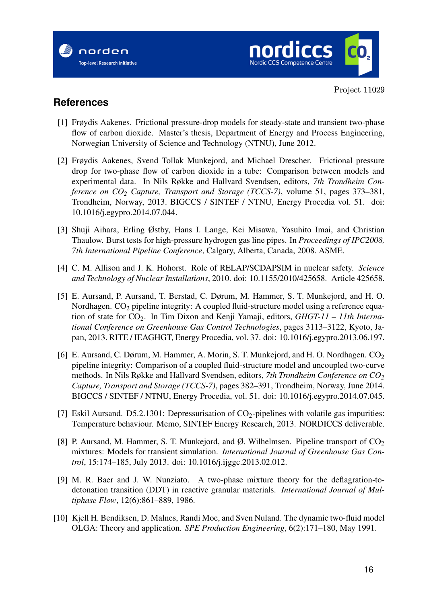



## **References**

- [1] Frøydis Aakenes. Frictional pressure-drop models for steady-state and transient two-phase flow of carbon dioxide. Master's thesis, Department of Energy and Process Engineering, Norwegian University of Science and Technology (NTNU), June 2012.
- [2] Frøydis Aakenes, Svend Tollak Munkejord, and Michael Drescher. Frictional pressure drop for two-phase flow of carbon dioxide in a tube: Comparison between models and experimental data. In Nils Røkke and Hallvard Svendsen, editors, *7th Trondheim Conference on CO<sup>2</sup> Capture, Transport and Storage (TCCS-7)*, volume 51, pages 373–381, Trondheim, Norway, 2013. BIGCCS / SINTEF / NTNU, Energy Procedia vol. 51. doi: 10.1016/j.egypro.2014.07.044.
- [3] Shuji Aihara, Erling Østby, Hans I. Lange, Kei Misawa, Yasuhito Imai, and Christian Thaulow. Burst tests for high-pressure hydrogen gas line pipes. In *Proceedings of IPC2008, 7th International Pipeline Conference*, Calgary, Alberta, Canada, 2008. ASME.
- [4] C. M. Allison and J. K. Hohorst. Role of RELAP/SCDAPSIM in nuclear safety. *Science and Technology of Nuclear Installations*, 2010. doi: 10.1155/2010/425658. Article 425658.
- [5] E. Aursand, P. Aursand, T. Berstad, C. Dørum, M. Hammer, S. T. Munkejord, and H. O. Nordhagen. CO<sub>2</sub> pipeline integrity: A coupled fluid-structure model using a reference equation of state for CO2. In Tim Dixon and Kenji Yamaji, editors, *GHGT-11 – 11th International Conference on Greenhouse Gas Control Technologies*, pages 3113–3122, Kyoto, Japan, 2013. RITE / IEAGHGT, Energy Procedia, vol. 37. doi: 10.1016/j.egypro.2013.06.197.
- [6] E. Aursand, C. Dørum, M. Hammer, A. Morin, S. T. Munkejord, and H. O. Nordhagen. CO<sub>2</sub> pipeline integrity: Comparison of a coupled fluid-structure model and uncoupled two-curve methods. In Nils Røkke and Hallvard Svendsen, editors, *7th Trondheim Conference on CO<sup>2</sup> Capture, Transport and Storage (TCCS-7)*, pages 382–391, Trondheim, Norway, June 2014. BIGCCS / SINTEF / NTNU, Energy Procedia, vol. 51. doi: 10.1016/j.egypro.2014.07.045.
- [7] Eskil Aursand. D5.2.1301: Depressurisation of  $CO<sub>2</sub>$ -pipelines with volatile gas impurities: Temperature behaviour. Memo, SINTEF Energy Research, 2013. NORDICCS deliverable.
- [8] P. Aursand, M. Hammer, S. T. Munkejord, and Ø. Wilhelmsen. Pipeline transport of  $CO<sub>2</sub>$ mixtures: Models for transient simulation. *International Journal of Greenhouse Gas Control*, 15:174–185, July 2013. doi: 10.1016/j.ijggc.2013.02.012.
- [9] M. R. Baer and J. W. Nunziato. A two-phase mixture theory for the deflagration-todetonation transition (DDT) in reactive granular materials. *International Journal of Multiphase Flow*, 12(6):861–889, 1986.
- [10] Kjell H. Bendiksen, D. Malnes, Randi Moe, and Sven Nuland. The dynamic two-fluid model OLGA: Theory and application. *SPE Production Engineering*, 6(2):171–180, May 1991.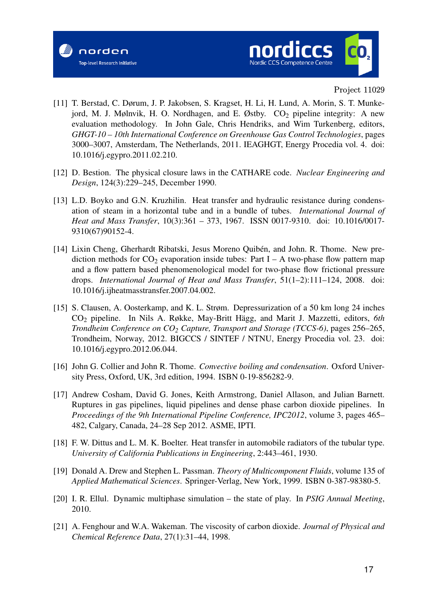



- [11] T. Berstad, C. Dørum, J. P. Jakobsen, S. Kragset, H. Li, H. Lund, A. Morin, S. T. Munkejord, M. J. Mølnvik, H. O. Nordhagen, and E. Østby.  $CO<sub>2</sub>$  pipeline integrity: A new evaluation methodology. In John Gale, Chris Hendriks, and Wim Turkenberg, editors, *GHGT-10 – 10th International Conference on Greenhouse Gas Control Technologies*, pages 3000–3007, Amsterdam, The Netherlands, 2011. IEAGHGT, Energy Procedia vol. 4. doi: 10.1016/j.egypro.2011.02.210.
- [12] D. Bestion. The physical closure laws in the CATHARE code. *Nuclear Engineering and Design*, 124(3):229–245, December 1990.
- [13] L.D. Boyko and G.N. Kruzhilin. Heat transfer and hydraulic resistance during condensation of steam in a horizontal tube and in a bundle of tubes. *International Journal of Heat and Mass Transfer*, 10(3):361 – 373, 1967. ISSN 0017-9310. doi: 10.1016/0017- 9310(67)90152-4.
- [14] Lixin Cheng, Gherhardt Ribatski, Jesus Moreno Quibén, and John. R. Thome. New prediction methods for  $CO_2$  evaporation inside tubes: Part I – A two-phase flow pattern map and a flow pattern based phenomenological model for two-phase flow frictional pressure drops. *International Journal of Heat and Mass Transfer*, 51(1–2):111–124, 2008. doi: 10.1016/j.ijheatmasstransfer.2007.04.002.
- [15] S. Clausen, A. Oosterkamp, and K. L. Strøm. Depressurization of a 50 km long 24 inches CO<sup>2</sup> pipeline. In Nils A. Røkke, May-Britt Hägg, and Marit J. Mazzetti, editors, *6th Trondheim Conference on CO<sup>2</sup> Capture, Transport and Storage (TCCS-6)*, pages 256–265, Trondheim, Norway, 2012. BIGCCS / SINTEF / NTNU, Energy Procedia vol. 23. doi: 10.1016/j.egypro.2012.06.044.
- [16] John G. Collier and John R. Thome. *Convective boiling and condensation*. Oxford University Press, Oxford, UK, 3rd edition, 1994. ISBN 0-19-856282-9.
- [17] Andrew Cosham, David G. Jones, Keith Armstrong, Daniel Allason, and Julian Barnett. Ruptures in gas pipelines, liquid pipelines and dense phase carbon dioxide pipelines. In *Proceedings of the 9th International Pipeline Conference, IPC2012*, volume 3, pages 465– 482, Calgary, Canada, 24–28 Sep 2012. ASME, IPTI.
- [18] F. W. Dittus and L. M. K. Boelter. Heat transfer in automobile radiators of the tubular type. *University of California Publications in Engineering*, 2:443–461, 1930.
- [19] Donald A. Drew and Stephen L. Passman. *Theory of Multicomponent Fluids*, volume 135 of *Applied Mathematical Sciences*. Springer-Verlag, New York, 1999. ISBN 0-387-98380-5.
- [20] I. R. Ellul. Dynamic multiphase simulation the state of play. In *PSIG Annual Meeting*, 2010.
- [21] A. Fenghour and W.A. Wakeman. The viscosity of carbon dioxide. *Journal of Physical and Chemical Reference Data*, 27(1):31–44, 1998.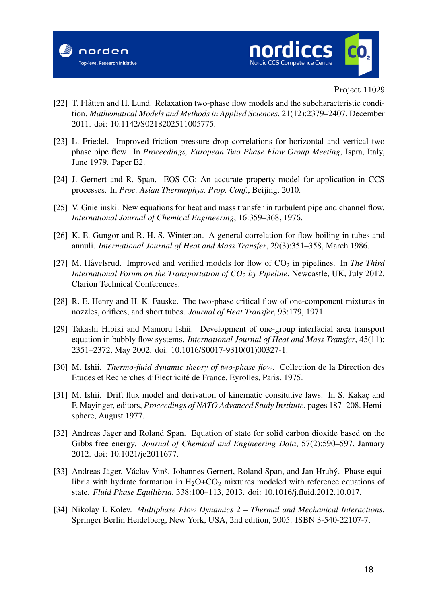



- [22] T. Flåtten and H. Lund. Relaxation two-phase flow models and the subcharacteristic condition. *Mathematical Models and Methods in Applied Sciences*, 21(12):2379–2407, December 2011. doi: 10.1142/S0218202511005775.
- [23] L. Friedel. Improved friction pressure drop correlations for horizontal and vertical two phase pipe flow. In *Proceedings, European Two Phase Flow Group Meeting*, Ispra, Italy, June 1979. Paper E2.
- [24] J. Gernert and R. Span. EOS-CG: An accurate property model for application in CCS processes. In *Proc. Asian Thermophys. Prop. Conf.*, Beijing, 2010.
- [25] V. Gnielinski. New equations for heat and mass transfer in turbulent pipe and channel flow. *International Journal of Chemical Engineering*, 16:359–368, 1976.
- [26] K. E. Gungor and R. H. S. Winterton. A general correlation for flow boiling in tubes and annuli. *International Journal of Heat and Mass Transfer*, 29(3):351–358, March 1986.
- [27] M. Håvelsrud. Improved and verified models for flow of CO<sub>2</sub> in pipelines. In *The Third International Forum on the Transportation of CO<sup>2</sup> by Pipeline*, Newcastle, UK, July 2012. Clarion Technical Conferences.
- [28] R. E. Henry and H. K. Fauske. The two-phase critical flow of one-component mixtures in nozzles, orifices, and short tubes. *Journal of Heat Transfer*, 93:179, 1971.
- [29] Takashi Hibiki and Mamoru Ishii. Development of one-group interfacial area transport equation in bubbly flow systems. *International Journal of Heat and Mass Transfer*, 45(11): 2351–2372, May 2002. doi: 10.1016/S0017-9310(01)00327-1.
- [30] M. Ishii. *Thermo-fluid dynamic theory of two-phase flow*. Collection de la Direction des Etudes et Recherches d'Electricité de France. Eyrolles, Paris, 1975.
- [31] M. Ishii. Drift flux model and derivation of kinematic consitutive laws. In S. Kakaç and F. Mayinger, editors, *Proceedings of NATO Advanced Study Institute*, pages 187–208. Hemisphere, August 1977.
- [32] Andreas Jäger and Roland Span. Equation of state for solid carbon dioxide based on the Gibbs free energy. *Journal of Chemical and Engineering Data*, 57(2):590–597, January 2012. doi: 10.1021/je2011677.
- [33] Andreas Jäger, Václav Vinš, Johannes Gernert, Roland Span, and Jan Hrubý. Phase equilibria with hydrate formation in  $H_2O+CO_2$  mixtures modeled with reference equations of state. *Fluid Phase Equilibria*, 338:100–113, 2013. doi: 10.1016/j.fluid.2012.10.017.
- [34] Nikolay I. Kolev. *Multiphase Flow Dynamics 2 Thermal and Mechanical Interactions*. Springer Berlin Heidelberg, New York, USA, 2nd edition, 2005. ISBN 3-540-22107-7.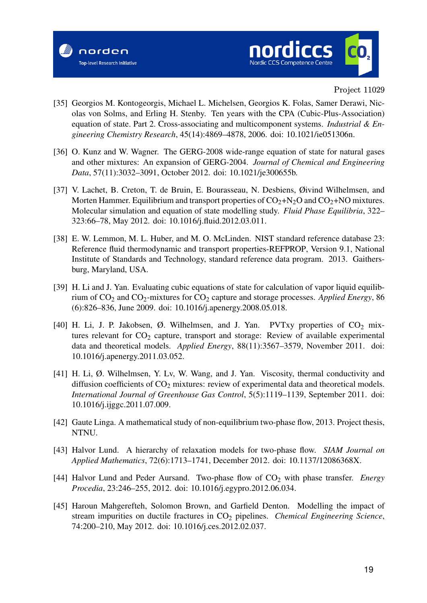



- [35] Georgios M. Kontogeorgis, Michael L. Michelsen, Georgios K. Folas, Samer Derawi, Nicolas von Solms, and Erling H. Stenby. Ten years with the CPA (Cubic-Plus-Association) equation of state. Part 2. Cross-associating and multicomponent systems. *Industrial & Engineering Chemistry Research*, 45(14):4869–4878, 2006. doi: 10.1021/ie051306n.
- [36] O. Kunz and W. Wagner. The GERG-2008 wide-range equation of state for natural gases and other mixtures: An expansion of GERG-2004. *Journal of Chemical and Engineering Data*, 57(11):3032–3091, October 2012. doi: 10.1021/je300655b.
- [37] V. Lachet, B. Creton, T. de Bruin, E. Bourasseau, N. Desbiens, Øivind Wilhelmsen, and Morten Hammer. Equilibrium and transport properties of  $CO<sub>2</sub>+N<sub>2</sub>O$  and  $CO<sub>2</sub>+NO$  mixtures. Molecular simulation and equation of state modelling study. *Fluid Phase Equilibria*, 322– 323:66–78, May 2012. doi: 10.1016/j.fluid.2012.03.011.
- [38] E. W. Lemmon, M. L. Huber, and M. O. McLinden. NIST standard reference database 23: Reference fluid thermodynamic and transport properties-REFPROP, Version 9.1, National Institute of Standards and Technology, standard reference data program. 2013. Gaithersburg, Maryland, USA.
- [39] H. Li and J. Yan. Evaluating cubic equations of state for calculation of vapor liquid equilibrium of CO<sup>2</sup> and CO2-mixtures for CO<sup>2</sup> capture and storage processes. *Applied Energy*, 86 (6):826–836, June 2009. doi: 10.1016/j.apenergy.2008.05.018.
- [40] H. Li, J. P. Jakobsen,  $\emptyset$ . Wilhelmsen, and J. Yan. PVTxy properties of  $CO<sub>2</sub>$  mixtures relevant for  $CO<sub>2</sub>$  capture, transport and storage: Review of available experimental data and theoretical models. *Applied Energy*, 88(11):3567–3579, November 2011. doi: 10.1016/j.apenergy.2011.03.052.
- [41] H. Li, Ø. Wilhelmsen, Y. Lv, W. Wang, and J. Yan. Viscosity, thermal conductivity and diffusion coefficients of  $CO<sub>2</sub>$  mixtures: review of experimental data and theoretical models. *International Journal of Greenhouse Gas Control*, 5(5):1119–1139, September 2011. doi: 10.1016/j.ijggc.2011.07.009.
- [42] Gaute Linga. A mathematical study of non-equilibrium two-phase flow, 2013. Project thesis, NTNU.
- [43] Halvor Lund. A hierarchy of relaxation models for two-phase flow. *SIAM Journal on Applied Mathematics*, 72(6):1713–1741, December 2012. doi: 10.1137/12086368X.
- [44] Halvor Lund and Peder Aursand. Two-phase flow of CO<sub>2</sub> with phase transfer. *Energy Procedia*, 23:246–255, 2012. doi: 10.1016/j.egypro.2012.06.034.
- [45] Haroun Mahgerefteh, Solomon Brown, and Garfield Denton. Modelling the impact of stream impurities on ductile fractures in CO<sub>2</sub> pipelines. *Chemical Engineering Science*, 74:200–210, May 2012. doi: 10.1016/j.ces.2012.02.037.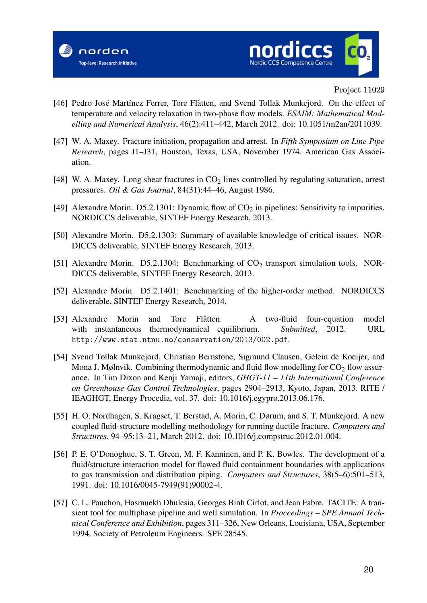



- [46] Pedro José Martínez Ferrer, Tore Flåtten, and Svend Tollak Munkejord. On the effect of temperature and velocity relaxation in two-phase flow models. *ESAIM: Mathematical Modelling and Numerical Analysis*, 46(2):411–442, March 2012. doi: 10.1051/m2an/2011039.
- [47] W. A. Maxey. Fracture initiation, propagation and arrest. In *Fifth Symposium on Line Pipe Research*, pages J1–J31, Houston, Texas, USA, November 1974. American Gas Association.
- [48] W. A. Maxey. Long shear fractures in  $CO<sub>2</sub>$  lines controlled by regulating saturation, arrest pressures. *Oil & Gas Journal*, 84(31):44–46, August 1986.
- [49] Alexandre Morin. D5.2.1301: Dynamic flow of  $CO<sub>2</sub>$  in pipelines: Sensitivity to impurities. NORDICCS deliverable, SINTEF Energy Research, 2013.
- [50] Alexandre Morin. D5.2.1303: Summary of available knowledge of critical issues. NOR-DICCS deliverable, SINTEF Energy Research, 2013.
- [51] Alexandre Morin. D5.2.1304: Benchmarking of CO<sub>2</sub> transport simulation tools. NOR-DICCS deliverable, SINTEF Energy Research, 2013.
- [52] Alexandre Morin. D5.2.1401: Benchmarking of the higher-order method. NORDICCS deliverable, SINTEF Energy Research, 2014.
- [53] Alexandre Morin and Tore Flåtten. A two-fluid four-equation model with instantaneous thermodynamical equilibrium. *Submitted*, 2012. URL http://www.stat.ntnu.no/conservation/2013/002.pdf.
- [54] Svend Tollak Munkejord, Christian Bernstone, Sigmund Clausen, Gelein de Koeijer, and Mona J. Mølnvik. Combining thermodynamic and fluid flow modelling for  $CO<sub>2</sub>$  flow assurance. In Tim Dixon and Kenji Yamaji, editors, *GHGT-11 – 11th International Conference on Greenhouse Gas Control Technologies*, pages 2904–2913, Kyoto, Japan, 2013. RITE / IEAGHGT, Energy Procedia, vol. 37. doi: 10.1016/j.egypro.2013.06.176.
- [55] H. O. Nordhagen, S. Kragset, T. Berstad, A. Morin, C. Dørum, and S. T. Munkejord. A new coupled fluid-structure modelling methodology for running ductile fracture. *Computers and Structures*, 94–95:13–21, March 2012. doi: 10.1016/j.compstruc.2012.01.004.
- [56] P. E. O'Donoghue, S. T. Green, M. F. Kanninen, and P. K. Bowles. The development of a fluid/structure interaction model for flawed fluid containment boundaries with applications to gas transmission and distribution piping. *Computers and Structures*, 38(5–6):501–513, 1991. doi: 10.1016/0045-7949(91)90002-4.
- [57] C. L. Pauchon, Hasmuekh Dhulesia, Georges Binh Cirlot, and Jean Fabre. TACITE: A transient tool for multiphase pipeline and well simulation. In *Proceedings – SPE Annual Technical Conference and Exhibition*, pages 311–326, New Orleans, Louisiana, USA, September 1994. Society of Petroleum Engineers. SPE 28545.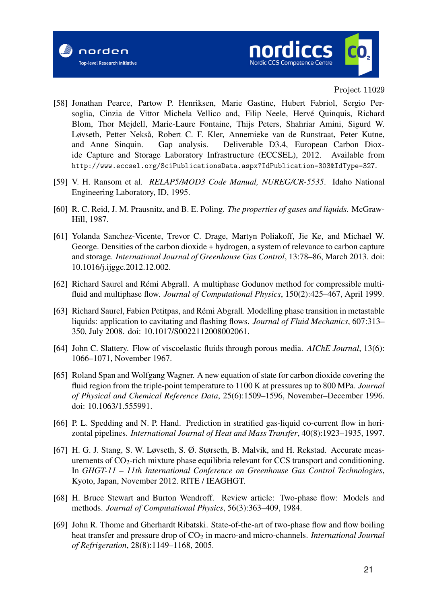



- [58] Jonathan Pearce, Partow P. Henriksen, Marie Gastine, Hubert Fabriol, Sergio Persoglia, Cinzia de Vittor Michela Vellico and, Filip Neele, Hervé Quinquis, Richard Blom, Thor Mejdell, Marie-Laure Fontaine, Thijs Peters, Shahriar Amini, Sigurd W. Løvseth, Petter Nekså, Robert C. F. Kler, Annemieke van de Runstraat, Peter Kutne, and Anne Sinquin. Gap analysis. Deliverable D3.4, European Carbon Dioxide Capture and Storage Laboratory Infrastructure (ECCSEL), 2012. Available from http://www.eccsel.org/SciPublicationsData.aspx?IdPublication=303&IdType=327.
- [59] V. H. Ransom et al. *RELAP5/MOD3 Code Manual, NUREG/CR-5535*. Idaho National Engineering Laboratory, ID, 1995.
- [60] R. C. Reid, J. M. Prausnitz, and B. E. Poling. *The properties of gases and liquids*. McGraw-Hill, 1987.
- [61] Yolanda Sanchez-Vicente, Trevor C. Drage, Martyn Poliakoff, Jie Ke, and Michael W. George. Densities of the carbon dioxide + hydrogen, a system of relevance to carbon capture and storage. *International Journal of Greenhouse Gas Control*, 13:78–86, March 2013. doi: 10.1016/j.ijggc.2012.12.002.
- [62] Richard Saurel and Rémi Abgrall. A multiphase Godunov method for compressible multifluid and multiphase flow. *Journal of Computational Physics*, 150(2):425–467, April 1999.
- [63] Richard Saurel, Fabien Petitpas, and Rémi Abgrall. Modelling phase transition in metastable liquids: application to cavitating and flashing flows. *Journal of Fluid Mechanics*, 607:313– 350, July 2008. doi: 10.1017/S0022112008002061.
- [64] John C. Slattery. Flow of viscoelastic fluids through porous media. *AIChE Journal*, 13(6): 1066–1071, November 1967.
- [65] Roland Span and Wolfgang Wagner. A new equation of state for carbon dioxide covering the fluid region from the triple-point temperature to 1100 K at pressures up to 800 MPa. *Journal of Physical and Chemical Reference Data*, 25(6):1509–1596, November–December 1996. doi: 10.1063/1.555991.
- [66] P. L. Spedding and N. P. Hand. Prediction in stratified gas-liquid co-current flow in horizontal pipelines. *International Journal of Heat and Mass Transfer*, 40(8):1923–1935, 1997.
- [67] H. G. J. Stang, S. W. Løvseth, S. Ø. Størseth, B. Malvik, and H. Rekstad. Accurate measurements of  $CO_2$ -rich mixture phase equilibria relevant for CCS transport and conditioning. In *GHGT-11 – 11th International Conference on Greenhouse Gas Control Technologies*, Kyoto, Japan, November 2012. RITE / IEAGHGT.
- [68] H. Bruce Stewart and Burton Wendroff. Review article: Two-phase flow: Models and methods. *Journal of Computational Physics*, 56(3):363–409, 1984.
- [69] John R. Thome and Gherhardt Ribatski. State-of-the-art of two-phase flow and flow boiling heat transfer and pressure drop of CO<sub>2</sub> in macro-and micro-channels. *International Journal of Refrigeration*, 28(8):1149–1168, 2005.